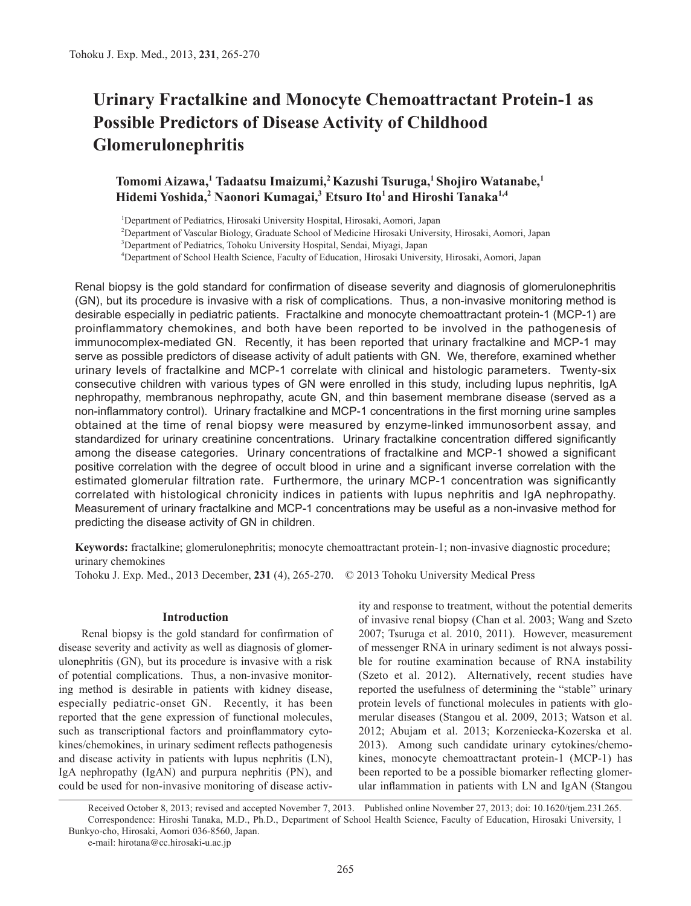# **Urinary Fractalkine and Monocyte Chemoattractant Protein-1 as Possible Predictors of Disease Activity of Childhood Glomerulonephritis**

# **Tomomi Aizawa,1 Tadaatsu Imaizumi,2 Kazushi Tsuruga,1 Shojiro Watanabe,1 Hidemi Yoshida,<sup>2</sup> Naonori Kumagai,3 Etsuro Ito1 and Hiroshi Tanaka1,4**

 Department of Pediatrics, Hirosaki University Hospital, Hirosaki, Aomori, Japan Department of Vascular Biology, Graduate School of Medicine Hirosaki University, Hirosaki, Aomori, Japan Department of Pediatrics, Tohoku University Hospital, Sendai, Miyagi, Japan Department of School Health Science, Faculty of Education, Hirosaki University, Hirosaki, Aomori, Japan

Renal biopsy is the gold standard for confirmation of disease severity and diagnosis of glomerulonephritis (GN), but its procedure is invasive with a risk of complications. Thus, a non-invasive monitoring method is desirable especially in pediatric patients. Fractalkine and monocyte chemoattractant protein-1 (MCP-1) are proinflammatory chemokines, and both have been reported to be involved in the pathogenesis of immunocomplex-mediated GN. Recently, it has been reported that urinary fractalkine and MCP-1 may serve as possible predictors of disease activity of adult patients with GN. We, therefore, examined whether urinary levels of fractalkine and MCP-1 correlate with clinical and histologic parameters. Twenty-six consecutive children with various types of GN were enrolled in this study, including lupus nephritis, IgA nephropathy, membranous nephropathy, acute GN, and thin basement membrane disease (served as a non-inflammatory control). Urinary fractalkine and MCP-1 concentrations in the first morning urine samples obtained at the time of renal biopsy were measured by enzyme-linked immunosorbent assay, and standardized for urinary creatinine concentrations. Urinary fractalkine concentration differed significantly among the disease categories. Urinary concentrations of fractalkine and MCP-1 showed a significant positive correlation with the degree of occult blood in urine and a significant inverse correlation with the estimated glomerular filtration rate. Furthermore, the urinary MCP-1 concentration was significantly correlated with histological chronicity indices in patients with lupus nephritis and IgA nephropathy. Measurement of urinary fractalkine and MCP-1 concentrations may be useful as a non-invasive method for predicting the disease activity of GN in children.

**Keywords:** fractalkine; glomerulonephritis; monocyte chemoattractant protein-1; non-invasive diagnostic procedure; urinary chemokines

Tohoku J. Exp. Med., 2013 December, **231** (4), 265-270. © 2013 Tohoku University Medical Press

## **Introduction**

Renal biopsy is the gold standard for confirmation of disease severity and activity as well as diagnosis of glomerulonephritis (GN), but its procedure is invasive with a risk of potential complications. Thus, a non-invasive monitoring method is desirable in patients with kidney disease, especially pediatric-onset GN. Recently, it has been reported that the gene expression of functional molecules, such as transcriptional factors and proinflammatory cytokines/chemokines, in urinary sediment reflects pathogenesis and disease activity in patients with lupus nephritis (LN), IgA nephropathy (IgAN) and purpura nephritis (PN), and could be used for non-invasive monitoring of disease activity and response to treatment, without the potential demerits of invasive renal biopsy (Chan et al. 2003; Wang and Szeto 2007; Tsuruga et al. 2010, 2011). However, measurement of messenger RNA in urinary sediment is not always possible for routine examination because of RNA instability (Szeto et al. 2012). Alternatively, recent studies have reported the usefulness of determining the "stable" urinary protein levels of functional molecules in patients with glomerular diseases (Stangou et al. 2009, 2013; Watson et al. 2012; Abujam et al. 2013; Korzeniecka-Kozerska et al. 2013). Among such candidate urinary cytokines/chemokines, monocyte chemoattractant protein-1 (MCP-1) has been reported to be a possible biomarker reflecting glomerular inflammation in patients with LN and IgAN (Stangou

Received October 8, 2013; revised and accepted November 7, 2013. Published online November 27, 2013; doi: 10.1620/tjem.231.265. Correspondence: Hiroshi Tanaka, M.D., Ph.D., Department of School Health Science, Faculty of Education, Hirosaki University, 1 Bunkyo-cho, Hirosaki, Aomori 036-8560, Japan.

e-mail: hirotana@cc.hirosaki-u.ac.jp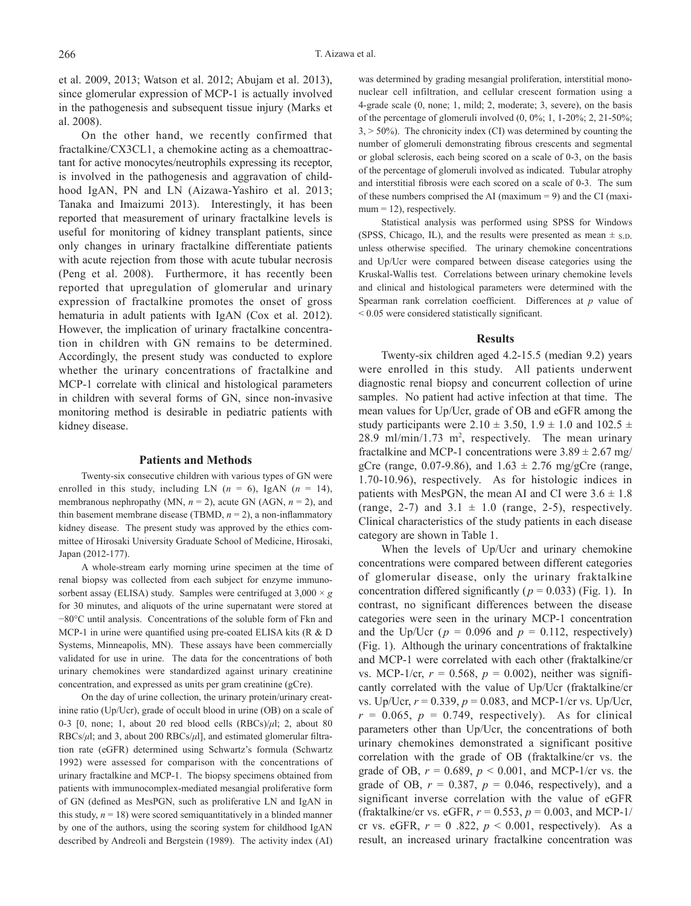et al. 2009, 2013; Watson et al. 2012; Abujam et al. 2013), since glomerular expression of MCP-1 is actually involved in the pathogenesis and subsequent tissue injury (Marks et al. 2008).

On the other hand, we recently confirmed that fractalkine/CX3CL1, a chemokine acting as a chemoattractant for active monocytes/neutrophils expressing its receptor, is involved in the pathogenesis and aggravation of childhood IgAN, PN and LN (Aizawa-Yashiro et al. 2013; Tanaka and Imaizumi 2013). Interestingly, it has been reported that measurement of urinary fractalkine levels is useful for monitoring of kidney transplant patients, since only changes in urinary fractalkine differentiate patients with acute rejection from those with acute tubular necrosis (Peng et al. 2008). Furthermore, it has recently been reported that upregulation of glomerular and urinary expression of fractalkine promotes the onset of gross hematuria in adult patients with IgAN (Cox et al. 2012). However, the implication of urinary fractalkine concentration in children with GN remains to be determined. Accordingly, the present study was conducted to explore whether the urinary concentrations of fractalkine and MCP-1 correlate with clinical and histological parameters in children with several forms of GN, since non-invasive monitoring method is desirable in pediatric patients with kidney disease.

#### **Patients and Methods**

Twenty-six consecutive children with various types of GN were enrolled in this study, including LN  $(n = 6)$ , IgAN  $(n = 14)$ , membranous nephropathy (MN,  $n = 2$ ), acute GN (AGN,  $n = 2$ ), and thin basement membrane disease (TBMD,  $n = 2$ ), a non-inflammatory kidney disease. The present study was approved by the ethics committee of Hirosaki University Graduate School of Medicine, Hirosaki, Japan (2012-177).

A whole-stream early morning urine specimen at the time of renal biopsy was collected from each subject for enzyme immunosorbent assay (ELISA) study. Samples were centrifuged at 3,000 × *g* for 30 minutes, and aliquots of the urine supernatant were stored at −80°C until analysis. Concentrations of the soluble form of Fkn and MCP-1 in urine were quantified using pre-coated ELISA kits (R & D Systems, Minneapolis, MN). These assays have been commercially validated for use in urine. The data for the concentrations of both urinary chemokines were standardized against urinary creatinine concentration, and expressed as units per gram creatinine (gCre).

On the day of urine collection, the urinary protein/urinary creatinine ratio (Up/Ucr), grade of occult blood in urine (OB) on a scale of 0-3 [0, none; 1, about 20 red blood cells (RBCs)/*μ*l; 2, about 80 RBCs/*μ*l; and 3, about 200 RBCs/*μ*l], and estimated glomerular filtration rate (eGFR) determined using Schwartz's formula (Schwartz 1992) were assessed for comparison with the concentrations of urinary fractalkine and MCP-1. The biopsy specimens obtained from patients with immunocomplex-mediated mesangial proliferative form of GN (defined as MesPGN, such as proliferative LN and IgAN in this study,  $n = 18$ ) were scored semiquantitatively in a blinded manner by one of the authors, using the scoring system for childhood IgAN described by Andreoli and Bergstein (1989). The activity index (AI) was determined by grading mesangial proliferation, interstitial mononuclear cell infiltration, and cellular crescent formation using a 4-grade scale (0, none; 1, mild; 2, moderate; 3, severe), on the basis of the percentage of glomeruli involved  $(0, 0\%; 1, 1-20\%; 2, 21-50\%;$  $3, > 50\%$ ). The chronicity index (CI) was determined by counting the number of glomeruli demonstrating fibrous crescents and segmental or global sclerosis, each being scored on a scale of 0-3, on the basis of the percentage of glomeruli involved as indicated. Tubular atrophy and interstitial fibrosis were each scored on a scale of 0-3. The sum of these numbers comprised the AI (maximum  $= 9$ ) and the CI (maxi $mum = 12$ , respectively.

Statistical analysis was performed using SPSS for Windows (SPSS, Chicago, IL), and the results were presented as mean  $\pm$  s.D. unless otherwise specified. The urinary chemokine concentrations and Up/Ucr were compared between disease categories using the Kruskal-Wallis test. Correlations between urinary chemokine levels and clinical and histological parameters were determined with the Spearman rank correlation coefficient. Differences at *p* value of < 0.05 were considered statistically significant.

#### **Results**

Twenty-six children aged 4.2-15.5 (median 9.2) years were enrolled in this study. All patients underwent diagnostic renal biopsy and concurrent collection of urine samples. No patient had active infection at that time. The mean values for Up/Ucr, grade of OB and eGFR among the study participants were  $2.10 \pm 3.50$ ,  $1.9 \pm 1.0$  and  $102.5 \pm 1.0$ 28.9 ml/min/1.73 m<sup>2</sup>, respectively. The mean urinary fractalkine and MCP-1 concentrations were  $3.89 \pm 2.67$  mg/ gCre (range, 0.07-9.86), and  $1.63 \pm 2.76$  mg/gCre (range, 1.70-10.96), respectively. As for histologic indices in patients with MesPGN, the mean AI and CI were  $3.6 \pm 1.8$ (range, 2-7) and  $3.1 \pm 1.0$  (range, 2-5), respectively. Clinical characteristics of the study patients in each disease category are shown in Table 1.

When the levels of Up/Ucr and urinary chemokine concentrations were compared between different categories of glomerular disease, only the urinary fraktalkine concentration differed significantly ( $p = 0.033$ ) (Fig. 1). In contrast, no significant differences between the disease categories were seen in the urinary MCP-1 concentration and the Up/Ucr ( $p = 0.096$  and  $p = 0.112$ , respectively) (Fig. 1). Although the urinary concentrations of fraktalkine and MCP-1 were correlated with each other (fraktalkine/cr vs. MCP-1/cr,  $r = 0.568$ ,  $p = 0.002$ ), neither was significantly correlated with the value of Up/Ucr (fraktalkine/cr vs. Up/Ucr, *r* = 0.339, *p* = 0.083, and MCP-1/cr vs. Up/Ucr,  $r = 0.065$ ,  $p = 0.749$ , respectively). As for clinical parameters other than Up/Ucr, the concentrations of both urinary chemokines demonstrated a significant positive correlation with the grade of OB (fraktalkine/cr vs. the grade of OB,  $r = 0.689$ ,  $p < 0.001$ , and MCP-1/cr vs. the grade of OB,  $r = 0.387$ ,  $p = 0.046$ , respectively), and a significant inverse correlation with the value of eGFR (fraktalkine/cr vs. eGFR,  $r = 0.553$ ,  $p = 0.003$ , and MCP-1/ cr vs. eGFR,  $r = 0.822$ ,  $p < 0.001$ , respectively). As a result, an increased urinary fractalkine concentration was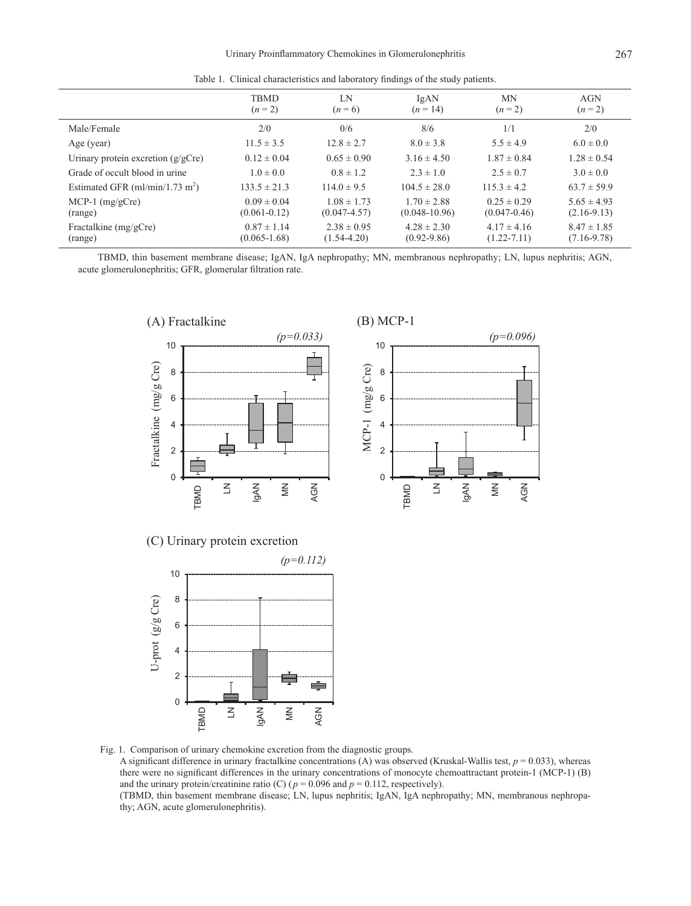Table 1. Clinical characteristics and laboratory findings of the study patients.

|                                      | <b>TBMD</b><br>$(n=2)$              | LN<br>$(n=6)$                       | IgAN<br>$(n=14)$                     | <b>MN</b><br>$(n=2)$                | AGN<br>$(n=2)$                   |
|--------------------------------------|-------------------------------------|-------------------------------------|--------------------------------------|-------------------------------------|----------------------------------|
| Male/Female                          | 2/0                                 | 0/6                                 | 8/6                                  | 1/1                                 | 2/0                              |
| Age (year)                           | $11.5 \pm 3.5$                      | $12.8 \pm 2.7$                      | $8.0 \pm 3.8$                        | $5.5 \pm 4.9$                       | $6.0 \pm 0.0$                    |
| Urinary protein excretion $(g/gCre)$ | $0.12 \pm 0.04$                     | $0.65 \pm 0.90$                     | $3.16 \pm 4.50$                      | $1.87 \pm 0.84$                     | $1.28 \pm 0.54$                  |
| Grade of occult blood in urine       | $1.0 \pm 0.0$                       | $0.8 \pm 1.2$                       | $2.3 \pm 1.0$                        | $2.5 \pm 0.7$                       | $3.0 \pm 0.0$                    |
| Estimated GFR $(ml/min/1.73 m2)$     | $133.5 \pm 21.3$                    | $114.0 \pm 9.5$                     | $104.5 \pm 28.0$                     | $115.3 \pm 4.2$                     | $63.7 \pm 59.9$                  |
| MCP-1 $(mg/gCre)$<br>(range)         | $0.09 \pm 0.04$<br>$(0.061 - 0.12)$ | $1.08 \pm 1.73$<br>$(0.047 - 4.57)$ | $1.70 \pm 2.88$<br>$(0.048 - 10.96)$ | $0.25 \pm 0.29$<br>$(0.047 - 0.46)$ | $5.65 \pm 4.93$<br>$(2.16-9.13)$ |
| Fractalkine (mg/gCre)<br>(range)     | $0.87 \pm 1.14$<br>$(0.065 - 1.68)$ | $2.38 \pm 0.95$<br>$(1.54 - 4.20)$  | $4.28 \pm 2.30$<br>$(0.92 - 9.86)$   | $4.17 \pm 4.16$<br>$(1.22 - 7.11)$  | $8.47 \pm 1.85$<br>$(7.16-9.78)$ |

TBMD, thin basement membrane disease; IgAN, IgA nephropathy; MN, membranous nephropathy; LN, lupus nephritis; AGN, acute glomerulonephritis; GFR, glomerular filtration rate.



(C) Urinary protein excretion



Fig. 1. Comparison of urinary chemokine excretion from the diagnostic groups. A significant difference in urinary fractalkine concentrations (A) was observed (Kruskal-Wallis test,  $p = 0.033$ ), whereas there were no significant differences in the urinary concentrations of monocyte chemoattractant protein-1 (MCP-1) (B) and the urinary protein/creatinine ratio (C) ( $p = 0.096$  and  $p = 0.112$ , respectively). (TBMD, thin basement membrane disease; LN, lupus nephritis; IgAN, IgA nephropathy; MN, membranous nephropathy; AGN, acute glomerulonephritis).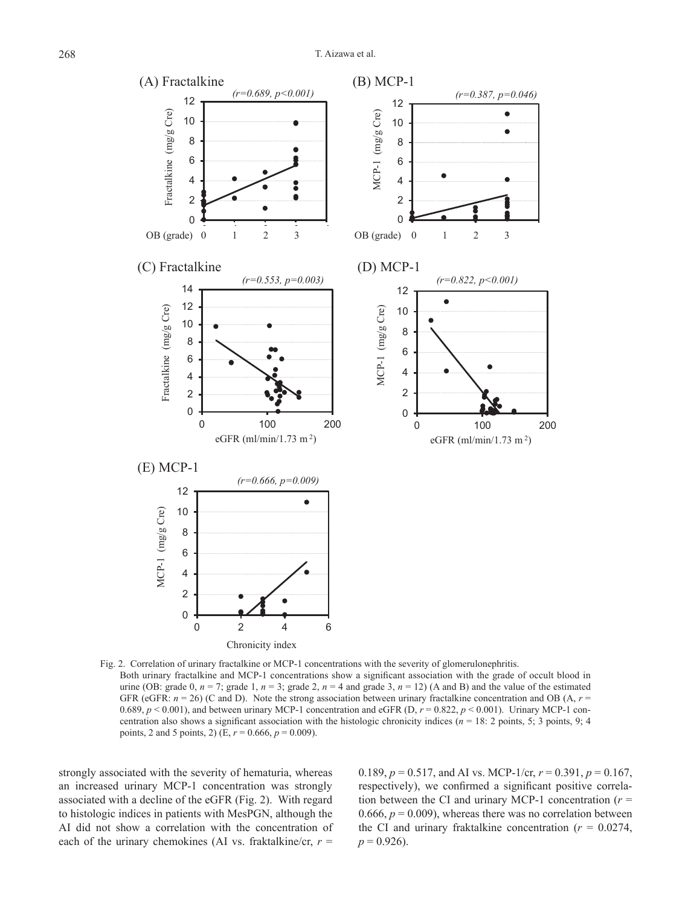

Fig. 2. Correlation of urinary fractalkine or MCP-1 concentrations with the severity of glomerulonephritis. Both urinary fractalkine and MCP-1 concentrations show a significant association with the grade of occult blood in urine (OB: grade 0,  $n = 7$ ; grade 1,  $n = 3$ ; grade 2,  $n = 4$  and grade 3,  $n = 12$ ) (A and B) and the value of the estimated GFR (eGFR:  $n = 26$ ) (C and D). Note the strong association between urinary fractalkine concentration and OB (A,  $r =$ 0.689,  $p < 0.001$ ), and between urinary MCP-1 concentration and eGFR (D,  $r = 0.822$ ,  $p < 0.001$ ). Urinary MCP-1 concentration also shows a significant association with the histologic chronicity indices ( $n = 18: 2$  points, 5; 3 points, 9; 4 points, 2 and 5 points, 2) (E,  $r = 0.666$ ,  $p = 0.009$ ).

strongly associated with the severity of hematuria, whereas an increased urinary MCP-1 concentration was strongly associated with a decline of the eGFR (Fig. 2). With regard to histologic indices in patients with MesPGN, although the AI did not show a correlation with the concentration of each of the urinary chemokines (AI vs. fraktalkine/cr,  $r =$ 

0.189,  $p = 0.517$ , and AI vs. MCP-1/cr,  $r = 0.391$ ,  $p = 0.167$ , respectively), we confirmed a significant positive correlation between the CI and urinary MCP-1 concentration  $(r =$ 0.666,  $p = 0.009$ ), whereas there was no correlation between the CI and urinary fraktalkine concentration  $(r = 0.0274,$  $p = 0.926$ .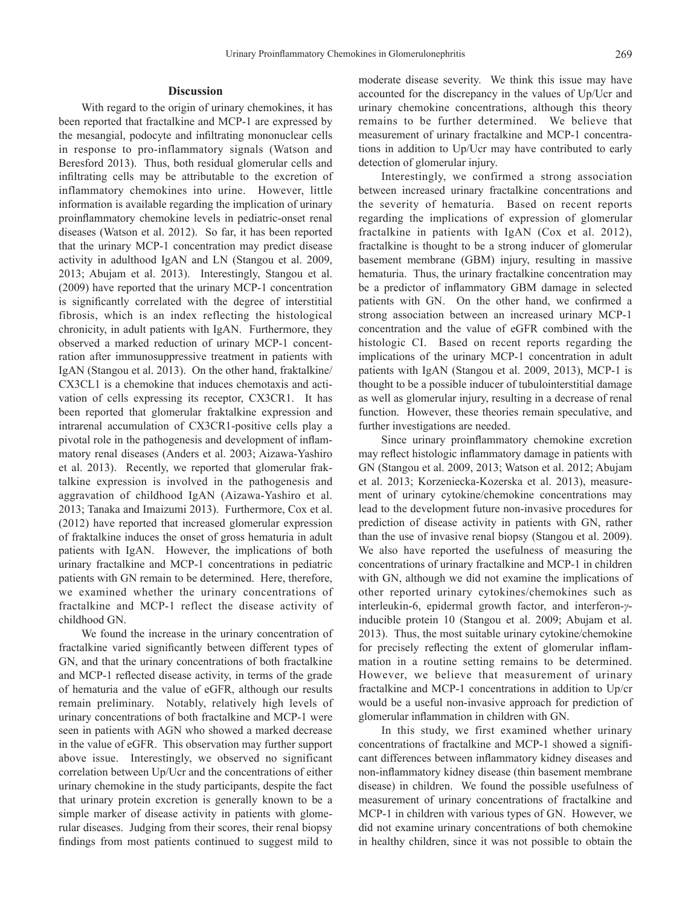## **Discussion**

With regard to the origin of urinary chemokines, it has been reported that fractalkine and MCP-1 are expressed by the mesangial, podocyte and infiltrating mononuclear cells in response to pro-inflammatory signals (Watson and Beresford 2013). Thus, both residual glomerular cells and infiltrating cells may be attributable to the excretion of inflammatory chemokines into urine. However, little information is available regarding the implication of urinary proinflammatory chemokine levels in pediatric-onset renal diseases (Watson et al. 2012). So far, it has been reported that the urinary MCP-1 concentration may predict disease activity in adulthood IgAN and LN (Stangou et al. 2009, 2013; Abujam et al. 2013). Interestingly, Stangou et al. (2009) have reported that the urinary MCP-1 concentration is significantly correlated with the degree of interstitial fibrosis, which is an index reflecting the histological chronicity, in adult patients with IgAN. Furthermore, they observed a marked reduction of urinary MCP-1 concentration after immunosuppressive treatment in patients with IgAN (Stangou et al. 2013). On the other hand, fraktalkine/ CX3CL1 is a chemokine that induces chemotaxis and activation of cells expressing its receptor, CX3CR1. It has been reported that glomerular fraktalkine expression and intrarenal accumulation of CX3CR1-positive cells play a pivotal role in the pathogenesis and development of inflammatory renal diseases (Anders et al. 2003; Aizawa-Yashiro et al. 2013). Recently, we reported that glomerular fraktalkine expression is involved in the pathogenesis and aggravation of childhood IgAN (Aizawa-Yashiro et al. 2013; Tanaka and Imaizumi 2013). Furthermore, Cox et al. (2012) have reported that increased glomerular expression of fraktalkine induces the onset of gross hematuria in adult patients with IgAN. However, the implications of both urinary fractalkine and MCP-1 concentrations in pediatric patients with GN remain to be determined. Here, therefore, we examined whether the urinary concentrations of fractalkine and MCP-1 reflect the disease activity of childhood GN.

We found the increase in the urinary concentration of fractalkine varied significantly between different types of GN, and that the urinary concentrations of both fractalkine and MCP-1 reflected disease activity, in terms of the grade of hematuria and the value of eGFR, although our results remain preliminary. Notably, relatively high levels of urinary concentrations of both fractalkine and MCP-1 were seen in patients with AGN who showed a marked decrease in the value of eGFR. This observation may further support above issue. Interestingly, we observed no significant correlation between Up/Ucr and the concentrations of either urinary chemokine in the study participants, despite the fact that urinary protein excretion is generally known to be a simple marker of disease activity in patients with glomerular diseases. Judging from their scores, their renal biopsy findings from most patients continued to suggest mild to

moderate disease severity. We think this issue may have accounted for the discrepancy in the values of Up/Ucr and urinary chemokine concentrations, although this theory remains to be further determined. We believe that measurement of urinary fractalkine and MCP-1 concentrations in addition to Up/Ucr may have contributed to early detection of glomerular injury.

Interestingly, we confirmed a strong association between increased urinary fractalkine concentrations and the severity of hematuria. Based on recent reports regarding the implications of expression of glomerular fractalkine in patients with IgAN (Cox et al. 2012), fractalkine is thought to be a strong inducer of glomerular basement membrane (GBM) injury, resulting in massive hematuria. Thus, the urinary fractalkine concentration may be a predictor of inflammatory GBM damage in selected patients with GN. On the other hand, we confirmed a strong association between an increased urinary MCP-1 concentration and the value of eGFR combined with the histologic CI. Based on recent reports regarding the implications of the urinary MCP-1 concentration in adult patients with IgAN (Stangou et al. 2009, 2013), MCP-1 is thought to be a possible inducer of tubulointerstitial damage as well as glomerular injury, resulting in a decrease of renal function. However, these theories remain speculative, and further investigations are needed.

Since urinary proinflammatory chemokine excretion may reflect histologic inflammatory damage in patients with GN (Stangou et al. 2009, 2013; Watson et al. 2012; Abujam et al. 2013; Korzeniecka-Kozerska et al. 2013), measurement of urinary cytokine/chemokine concentrations may lead to the development future non-invasive procedures for prediction of disease activity in patients with GN, rather than the use of invasive renal biopsy (Stangou et al. 2009). We also have reported the usefulness of measuring the concentrations of urinary fractalkine and MCP-1 in children with GN, although we did not examine the implications of other reported urinary cytokines/chemokines such as interleukin-6, epidermal growth factor, and interferon-*γ*inducible protein 10 (Stangou et al. 2009; Abujam et al. 2013). Thus, the most suitable urinary cytokine/chemokine for precisely reflecting the extent of glomerular inflammation in a routine setting remains to be determined. However, we believe that measurement of urinary fractalkine and MCP-1 concentrations in addition to Up/cr would be a useful non-invasive approach for prediction of glomerular inflammation in children with GN.

In this study, we first examined whether urinary concentrations of fractalkine and MCP-1 showed a significant differences between inflammatory kidney diseases and non-inflammatory kidney disease (thin basement membrane disease) in children. We found the possible usefulness of measurement of urinary concentrations of fractalkine and MCP-1 in children with various types of GN. However, we did not examine urinary concentrations of both chemokine in healthy children, since it was not possible to obtain the